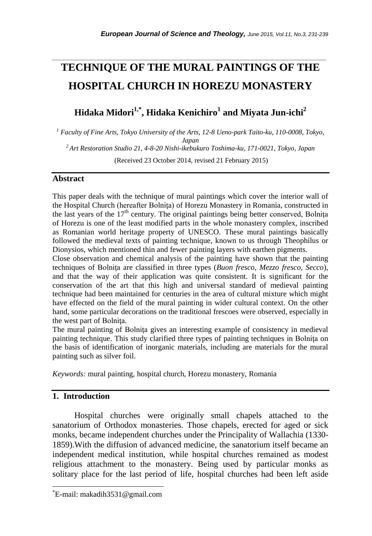# **TECHNIQUE OF THE MURAL PAINTINGS OF THE HOSPITAL CHURCH IN HOREZU MONASTERY**

*\_\_\_\_\_\_\_\_\_\_\_\_\_\_\_\_\_\_\_\_\_\_\_\_\_\_\_\_\_\_\_\_\_\_\_\_\_\_\_\_\_\_\_\_\_\_\_\_\_\_\_\_\_\_\_\_\_\_\_\_\_\_\_\_\_\_\_\_\_\_\_*

**Hidaka Midori1,\* , Hidaka Kenichiro<sup>1</sup> and Miyata Jun-ichi<sup>2</sup>**

*<sup>1</sup> Faculty of Fine Arts, Tokyo University of the Arts, 12-8 Ueno-park Taito-ku, 110-0008, Tokyo, Japan*

*<sup>2</sup> Art Restoration Studio 21, 4-8-20 Nishi-ikebukuro Toshima-ku, 171-0021, Tokyo, Japan*

(Received 23 October 2014, revised 21 February 2015)

## **Abstract**

This paper deals with the technique of mural paintings which cover the interior wall of the Hospital Church (hereafter Bolnita) of Horezu Monastery in Romania, constructed in the last years of the  $17<sup>th</sup>$  century. The original paintings being better conserved, Bolnita of Horezu is one of the least modified parts in the whole monastery complex, inscribed as Romanian world heritage property of UNESCO. These mural paintings basically followed the medieval texts of painting technique, known to us through Theophilus or Dionysios, which mentioned thin and fewer painting layers with earthen pigments.

Close observation and chemical analysis of the painting have shown that the painting techniques of Bolniţa are classified in three types (*Buon fresco, Mezzo fresco, Secco*), and that the way of their application was quite consistent. It is significant for the conservation of the art that this high and universal standard of medieval painting technique had been maintained for centuries in the area of cultural mixture which might have effected on the field of the mural painting in wider cultural context. On the other hand, some particular decorations on the traditional frescoes were observed, especially in the west part of Bolniţa.

The mural painting of Bolnita gives an interesting example of consistency in medieval painting technique. This study clarified three types of painting techniques in Bolniţa on the basis of identification of inorganic materials, including are materials for the mural painting such as silver foil.

*Keywords:* mural painting, hospital church, Horezu monastery, Romania

## **1. Introduction**

l

Hospital churches were originally small chapels attached to the sanatorium of Orthodox monasteries. Those chapels, erected for aged or sick monks, became independent churches under the Principality of Wallachia (1330- 1859).With the diffusion of advanced medicine, the sanatorium itself became an independent medical institution, while hospital churches remained as modest religious attachment to the monastery. Being used by particular monks as solitary place for the last period of life, hospital churches had been left aside

<sup>\*</sup>E-mail: makadih3531@gmail.com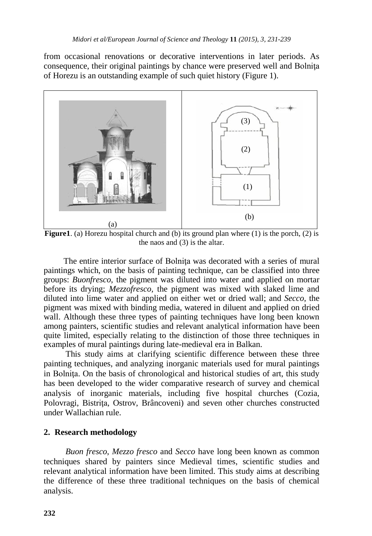from occasional renovations or decorative interventions in later periods. As consequence, their original paintings by chance were preserved well and Bolnita of Horezu is an outstanding example of such quiet history (Figure 1).



**Figure1.** (a) Horezu hospital church and (b) its ground plan where  $(1)$  is the porch,  $(2)$  is the naos and (3) is the altar.

The entire interior surface of Bolnita was decorated with a series of mural paintings which, on the basis of painting technique, can be classified into three groups: *Buonfresco,* the pigment was diluted into water and applied on mortar before its drying; *Mezzofresco,* the pigment was mixed with slaked lime and diluted into lime water and applied on either wet or dried wall; and *Secco,* the pigment was mixed with binding media, watered in diluent and applied on dried wall. Although these three types of painting techniques have long been known among painters, scientific studies and relevant analytical information have been quite limited, especially relating to the distinction of those three techniques in examples of mural paintings during late-medieval era in Balkan.

This study aims at clarifying scientific difference between these three painting techniques, and analyzing inorganic materials used for mural paintings in Bolniţa. On the basis of chronological and historical studies of art, this study has been developed to the wider comparative research of survey and chemical analysis of inorganic materials, including five hospital churches (Cozia, Polovragi, Bistrita, Ostrov, Brâncoveni) and seven other churches constructed under Wallachian rule.

## **2. Research methodology**

*Buon fresco*, *Mezzo fresco* and *Secco* have long been known as common techniques shared by painters since Medieval times, scientific studies and relevant analytical information have been limited. This study aims at describing the difference of these three traditional techniques on the basis of chemical analysis.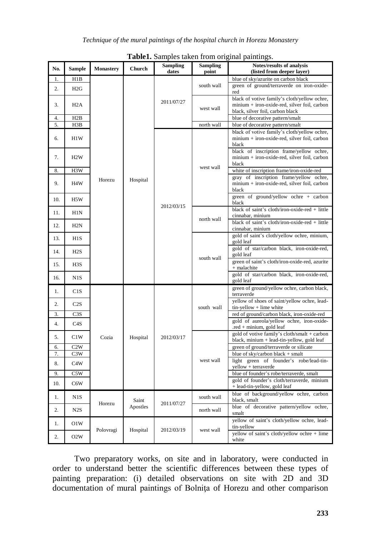|     |                  |                  |                   | <b>Sampling</b> | <b>Sampling</b> | Notes/results of analysis                                                                             |
|-----|------------------|------------------|-------------------|-----------------|-----------------|-------------------------------------------------------------------------------------------------------|
| No. | Sample           | <b>Monastery</b> | Church            | dates           | point           | (listed from deeper layer)                                                                            |
| 1.  | H1B              |                  |                   |                 |                 | blue of sky/azurite on carbon black                                                                   |
| 2.  | H2G              |                  |                   |                 | south wall      | green of ground/terraverde on iron-oxide-                                                             |
|     |                  |                  |                   |                 |                 | red                                                                                                   |
| 3.  | H <sub>2</sub> A |                  |                   | 2011/07/27      | west wall       | black of votive family's cloth/yellow ochre,<br>minium + iron-oxide-red, silver foil, carbon          |
|     |                  |                  |                   |                 |                 | black, silver foil, carbon black                                                                      |
| 4.  | H2B              |                  |                   |                 |                 | blue of decorative pattern/smalt                                                                      |
| 5.  | H3B              |                  |                   |                 | north wall      | blue of decorative pattern/smalt                                                                      |
| 6.  | H1W              |                  |                   | 2012/03/15      |                 | black of votive family's cloth/yellow ochre,<br>minium + iron-oxide-red, silver foil, carbon<br>black |
| 7.  | H2W              |                  |                   |                 |                 | black of inscription frame/yellow ochre,<br>minium + iron-oxide-red, silver foil, carbon<br>black     |
| 8.  | H3W              |                  |                   |                 | west wall       | white of inscription frame/iron-oxide-red                                                             |
| 9.  | H <sub>4</sub> W | Horezu           | Hospital          |                 |                 | gray of inscription frame/yellow ochre,<br>minium + iron-oxide-red, silver foil, carbon<br>black      |
| 10. | H5W              |                  |                   |                 |                 | green of ground/yellow ochre + carbon<br>black                                                        |
| 11. | H1N              |                  |                   |                 | north wall      | black of saint's cloth/iron-oxide-red + little<br>cinnabar, minium                                    |
| 12. | H2N              |                  |                   |                 |                 | black of saint's cloth/iron-oxide-red + little<br>cinnabar, minium                                    |
| 13. | H1S              |                  |                   |                 |                 | gold of saint's cloth/yellow ochre, minium,<br>gold leaf                                              |
| 14. | H2S              |                  |                   |                 | south wall      | gold of star/carbon black, iron-oxide-red,<br>gold leaf                                               |
| 15. | H <sub>3</sub> S |                  |                   |                 |                 | green of saint's cloth/iron-oxide-red, azurite<br>+ malachite                                         |
| 16. | N1S              |                  |                   |                 |                 | gold of star/carbon black, iron-oxide-red,<br>gold leaf                                               |
| 1.  | C1S              |                  | Hospital          | 2012/03/17      | south wall      | green of ground/yellow ochre, carbon black,<br>terraverde                                             |
| 2.  | C2S              |                  |                   |                 |                 | yellow of shoes of saint/yellow ochre, lead-<br>tin-yellow + lime white                               |
| 3.  | C <sub>3</sub> S |                  |                   |                 |                 | red of ground/carbon black, iron-oxide-red<br>gold of aureola/yellow ochre, iron-oxide-               |
| 4.  | C4S              |                  |                   |                 |                 | .red + minium, gold leaf                                                                              |
| 5.  | C1W              | Cozia            |                   |                 | west wall       | gold of votive family's cloth/smalt + carbon<br>black, minium + lead-tin-yellow, gold leaf            |
| 6.  | C2W              |                  |                   |                 |                 | green of ground/terraverde or silicate                                                                |
| 7.  | C3W              |                  |                   |                 |                 | blue of sky/carbon black + smalt                                                                      |
| 8.  | C4W              |                  |                   |                 |                 | light green of founder's robe/lead-tin-<br>yellow + terraverde                                        |
| 9.  | C5W              |                  |                   |                 |                 | blue of founder's robe/terraverde, smalt                                                              |
| 10. | C6W              |                  |                   |                 |                 | gold of founder's cloth/terraverde, minium                                                            |
|     |                  |                  |                   |                 |                 | + lead-tin-yellow, gold leaf                                                                          |
| 1.  | N1S              | Horezu           | Saint<br>Apostles | 2011/07/27      | south wall      | blue of background/yellow ochre, carbon<br>black, smalt                                               |
| 2.  | N2S              |                  |                   |                 | north wall      | blue of decorative pattern/yellow ochre,<br>smalt                                                     |
| 1.  | O1W              | Polovragi        | Hospital          | 2012/03/19      | west wall       | yellow of saint's cloth/yellow ochre, lead-<br>tin-yellow                                             |
| 2.  | O2W              |                  |                   |                 |                 | yellow of saint's cloth/yellow ochre + lime<br>white                                                  |

**Table1.** Samples taken from original paintings.

Two preparatory works, on site and in laboratory, were conducted in order to understand better the scientific differences between these types of painting preparation: (i) detailed observations on site with 2D and 3D documentation of mural paintings of Bolniţa of Horezu and other comparison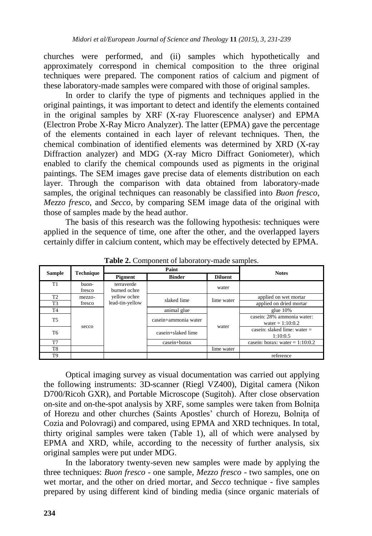churches were performed, and (ii) samples which hypothetically and approximately correspond in chemical composition to the three original techniques were prepared. The component ratios of calcium and pigment of these laboratory-made samples were compared with those of original samples.

In order to clarify the type of pigments and techniques applied in the original paintings, it was important to detect and identify the elements contained in the original samples by XRF (X-ray Fluorescence analyser) and EPMA (Electron Probe X-Ray Micro Analyzer). The latter (EPMA) gave the percentage of the elements contained in each layer of relevant techniques. Then, the chemical combination of identified elements was determined by XRD (X-ray Diffraction analyzer) and MDG (X-ray Micro Diffract Goniometer), which enabled to clarify the chemical compounds used as pigments in the original paintings. The SEM images gave precise data of elements distribution on each layer. Through the comparison with data obtained from laboratory-made samples, the original techniques can reasonably be classified into *Buon fresco*, *Mezzo fresco*, and *Secco*, by comparing SEM image data of the original with those of samples made by the head author.

The basis of this research was the following hypothesis: techniques were applied in the sequence of time, one after the other, and the overlapped layers certainly differ in calcium content, which may be effectively detected by EPMA.

|                |                  |                            | Paint                | <b>Notes</b>   |                                                  |
|----------------|------------------|----------------------------|----------------------|----------------|--------------------------------------------------|
| <b>Sample</b>  | <b>Technique</b> | Pigment                    | <b>Binder</b>        | <b>Diluent</b> |                                                  |
| T1             | buon-<br>fresco  | terraverde<br>burned ochre |                      | water          |                                                  |
| T <sub>2</sub> | mezzo-           | yellow ochre               | slaked lime          | lime water     | applied on wet mortar                            |
| T <sub>3</sub> | fresco           | lead-tin-yellow            |                      |                | applied on dried mortar                          |
| T4             |                  |                            | animal glue          |                | glue $10\%$                                      |
| T5             |                  |                            | casein+ammonia water | water          | casein: 28% ammonia water:<br>water = $1:10:0.2$ |
| T6             | secco            |                            | casein+slaked lime   |                | casein: slaked lime: water $=$<br>1:10:0.5       |
| T7             |                  |                            | casein+borax         |                | casein: borax: water = $1:10:0.2$                |
| T <sub>8</sub> |                  |                            |                      | lime water     |                                                  |
| T <sub>9</sub> |                  |                            |                      |                | reference                                        |

**Table 2.** Component of laboratory-made samples.

Optical imaging survey as visual documentation was carried out applying the following instruments: 3D-scanner (Riegl VZ400), Digital camera (Nikon D700/Ricoh GXR), and Portable Microscope (Sugitoh). After close observation on-site and on-the-spot analysis by XRF, some samples were taken from Bolniţa of Horezu and other churches (Saints Apostles' church of Horezu, Bolnita of Cozia and Polovragi) and compared, using EPMA and XRD techniques. In total, thirty original samples were taken (Table 1), all of which were analysed by EPMA and XRD, while, according to the necessity of further analysis, six original samples were put under MDG.

In the laboratory twenty-seven new samples were made by applying the three techniques: *Buon fresco* - one sample, *Mezzo fresco* - two samples, one on wet mortar, and the other on dried mortar, and *Secco* technique - five samples prepared by using different kind of binding media (since organic materials of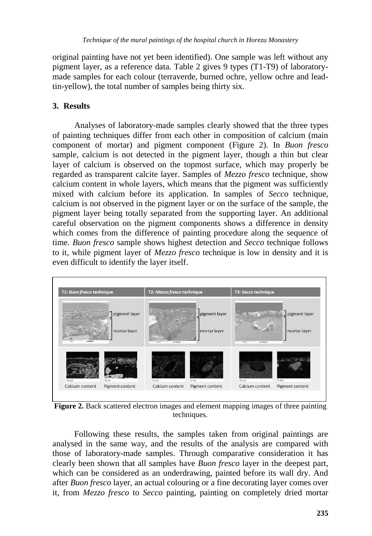original painting have not yet been identified). One sample was left without any pigment layer, as a reference data. Table 2 gives 9 types (T1-T9) of laboratorymade samples for each colour (terraverde, burned ochre, yellow ochre and leadtin-yellow), the total number of samples being thirty six.

# **3. Results**

Analyses of laboratory-made samples clearly showed that the three types of painting techniques differ from each other in composition of calcium (main component of mortar) and pigment component (Figure 2). In *Buon fresco* sample, calcium is not detected in the pigment layer, though a thin but clear layer of calcium is observed on the topmost surface, which may properly be regarded as transparent calcite layer. Samples of *Mezzo fresco* technique, show calcium content in whole layers, which means that the pigment was sufficiently mixed with calcium before its application. In samples of *Secco* technique, calcium is not observed in the pigment layer or on the surface of the sample, the pigment layer being totally separated from the supporting layer. An additional careful observation on the pigment components shows a difference in density which comes from the difference of painting procedure along the sequence of time. *Buon fresco* sample shows highest detection and *Secco* technique follows to it, while pigment layer of *Mezzo fresco* technique is low in density and it is even difficult to identify the layer itself.



**Figure 2.** Back scattered electron images and element mapping images of three painting techniques.

Following these results, the samples taken from original paintings are analysed in the same way, and the results of the analysis are compared with those of laboratory-made samples. Through comparative consideration it has clearly been shown that all samples have *Buon fresco* layer in the deepest part, which can be considered as an underdrawing, painted before its wall dry. And after *Buon fresco* layer, an actual colouring or a fine decorating layer comes over it, from *Mezzo fresco* to *Secco* painting, painting on completely dried mortar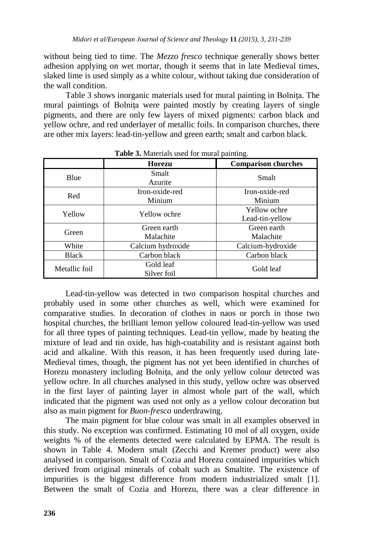without being tied to time. The *Mezzo fresco* technique generally shows better adhesion applying on wet mortar, though it seems that in late Medieval times, slaked lime is used simply as a white colour, without taking due consideration of the wall condition.

Table 3 shows inorganic materials used for mural painting in Bolnita. The mural paintings of Bolnita were painted mostly by creating layers of single pigments, and there are only few layers of mixed pigments: carbon black and yellow ochre, and red underlayer of metallic foils. In comparison churches, there are other mix layers: lead-tin-yellow and green earth; smalt and carbon black.

|               | <b>Horezu</b>            | <b>Comparison churches</b>      |  |  |  |
|---------------|--------------------------|---------------------------------|--|--|--|
| Blue          | Smalt<br>Azurite         | Smalt                           |  |  |  |
| Red           | Iron-oxide-red<br>Minium | Iron-oxide-red<br>Minium        |  |  |  |
| Yellow        | Yellow ochre             | Yellow ochre<br>Lead-tin-yellow |  |  |  |
| Green         | Green earth<br>Malachite | Green earth<br>Malachite        |  |  |  |
| White         | Calcium hydroxide        | Calcium-hydroxide               |  |  |  |
| <b>Black</b>  | Carbon black             | Carbon black                    |  |  |  |
| Metallic foil | Gold leaf<br>Silver foil | Gold leaf                       |  |  |  |

**Table 3.** Materials used for mural painting.

Lead-tin-yellow was detected in two comparison hospital churches and probably used in some other churches as well, which were examined for comparative studies. In decoration of clothes in naos or porch in those two hospital churches, the brilliant lemon yellow coloured lead-tin-yellow was used for all three types of painting techniques. Lead-tin yellow, made by heating the mixture of lead and tin oxide, has high-coatability and is resistant against both acid and alkaline. With this reason, it has been frequently used during late-Medieval times, though, the pigment has not yet been identified in churches of Horezu monastery including Bolnita, and the only yellow colour detected was yellow ochre. In all churches analysed in this study, yellow ochre was observed in the first layer of painting layer in almost whole part of the wall, which indicated that the pigment was used not only as a yellow colour decoration but also as main pigment for *Buon-fresco* underdrawing.

The main pigment for blue colour was smalt in all examples observed in this study. No exception was confirmed. Estimating 10 mol of all oxygen, oxide weights % of the elements detected were calculated by EPMA. The result is shown in Table 4. Modern smalt (Zecchi and Kremer product) were also analysed in comparison. Smalt of Cozia and Horezu contained impurities which derived from original minerals of cobalt such as Smaltite. The existence of impurities is the biggest difference from modern industrialized smalt [1]. Between the smalt of Cozia and Horezu, there was a clear difference in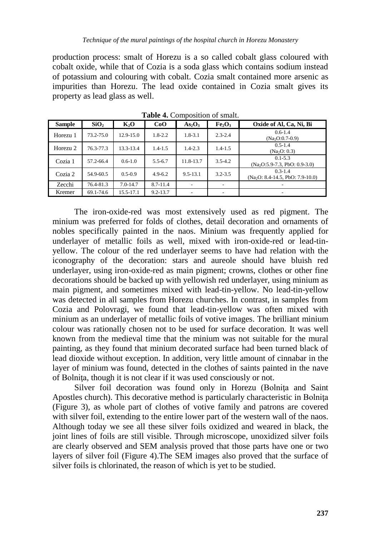production process: smalt of Horezu is a so called cobalt glass coloured with cobalt oxide, while that of Cozia is a soda glass which contains sodium instead of potassium and colouring with cobalt. Cozia smalt contained more arsenic as impurities than Horezu. The lead oxide contained in Cozia smalt gives its property as lead glass as well.

| <b>Sample</b> | SiO <sub>2</sub> | K,O           | CoO          | As <sub>2</sub> O <sub>3</sub> | Fe <sub>2</sub> O <sub>3</sub> | Oxide of Al, Ca, Ni, Bi                          |
|---------------|------------------|---------------|--------------|--------------------------------|--------------------------------|--------------------------------------------------|
| Horezu 1      | $73.2 - 75.0$    | $12.9 - 15.0$ | $1.8 - 2.2$  | $1.8 - 3.1$                    | $2.3 - 2.4$                    | $0.6 - 1.4$<br>$(Na2O:0.7-0.9)$                  |
| Horezu 2      | 76.3-77.3        | 13.3-13.4     | $1.4 - 1.5$  | $1.4 - 2.3$                    | $1.4 - 1.5$                    | $0.5 - 1.4$<br>(Na <sub>2</sub> O: 0.3)          |
| Cozia 1       | 57.2-66.4        | $0.6 - 1.0$   | $5.5 - 6.7$  | 11.8-13.7                      | $3.5 - 4.2$                    | $0.1 - 5.3$<br>$(Na2O:5.9-7.3, PbO: 0.9-3.0)$    |
| Cozia 2       | 54.9-60.5        | $0.5 - 0.9$   | $4.9 - 6.2$  | $9.5 - 13.1$                   | $3.2 - 3.5$                    | $0.3 - 1.4$<br>$(Na2O: 8.4-14.5, PbO: 7.9-10.0)$ |
| Zecchi        | 76.4-81.3        | $7.0 - 14.7$  | $8.7 - 11.4$ |                                | ٠                              |                                                  |
| Kremer        | 69.1-74.6        | 15.5-17.1     | $9.2 - 13.7$ | ٠                              | $\overline{\phantom{a}}$       | ۰                                                |

**Table 4.** Composition of smalt.

The iron-oxide-red was most extensively used as red pigment. The minium was preferred for folds of clothes, detail decoration and ornaments of nobles specifically painted in the naos. Minium was frequently applied for underlayer of metallic foils as well, mixed with iron-oxide-red or lead-tinyellow. The colour of the red underlayer seems to have had relation with the iconography of the decoration: stars and aureole should have bluish red underlayer, using iron-oxide-red as main pigment; crowns, clothes or other fine decorations should be backed up with yellowish red underlayer, using minium as main pigment, and sometimes mixed with lead-tin-yellow. No lead-tin-yellow was detected in all samples from Horezu churches. In contrast, in samples from Cozia and Polovragi, we found that lead-tin-yellow was often mixed with minium as an underlayer of metallic foils of votive images. The brilliant minium colour was rationally chosen not to be used for surface decoration. It was well known from the medieval time that the minium was not suitable for the mural painting, as they found that minium decorated surface had been turned black of lead dioxide without exception. In addition, very little amount of cinnabar in the layer of minium was found, detected in the clothes of saints painted in the nave of Bolniţa, though it is not clear if it was used consciously or not.

Silver foil decoration was found only in Horezu (Bolnita and Saint Apostles church). This decorative method is particularly characteristic in Bolnita (Figure 3), as whole part of clothes of votive family and patrons are covered with silver foil, extending to the entire lower part of the western wall of the naos. Although today we see all these silver foils oxidized and weared in black, the joint lines of foils are still visible. Through microscope, unoxidized silver foils are clearly observed and SEM analysis proved that those parts have one or two layers of silver foil (Figure 4).The SEM images also proved that the surface of silver foils is chlorinated, the reason of which is yet to be studied.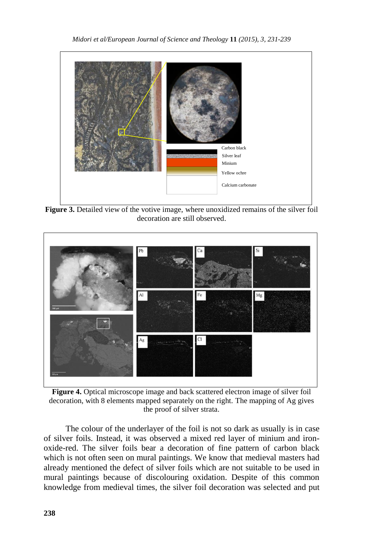

**Figure 3.** Detailed view of the votive image, where unoxidized remains of the silver foil decoration are still observed.



**Figure 4.** Optical microscope image and back scattered electron image of silver foil decoration, with 8 elements mapped separately on the right. The mapping of Ag gives the proof of silver strata.

The colour of the underlayer of the foil is not so dark as usually is in case of silver foils. Instead, it was observed a mixed red layer of minium and ironoxide-red. The silver foils bear a decoration of fine pattern of carbon black which is not often seen on mural paintings. We know that medieval masters had already mentioned the defect of silver foils which are not suitable to be used in mural paintings because of discolouring oxidation. Despite of this common knowledge from medieval times, the silver foil decoration was selected and put